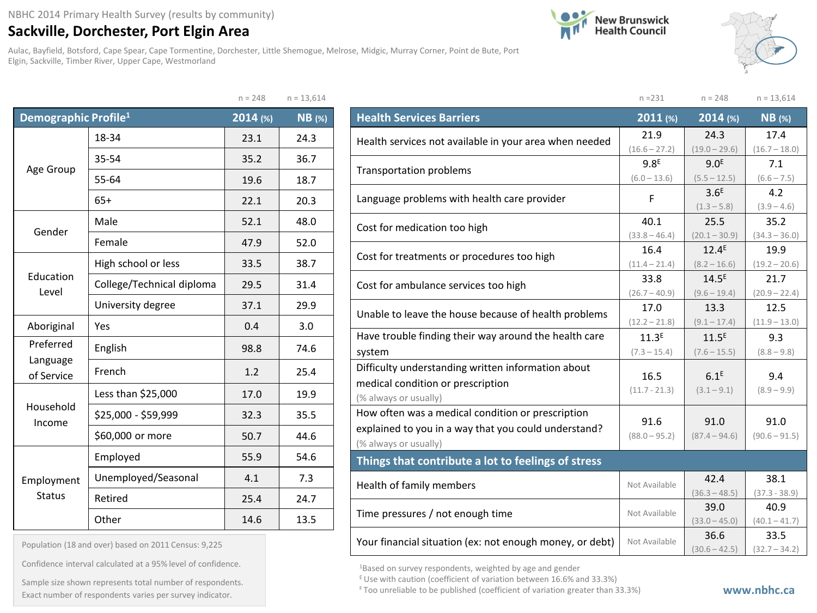## **Sackville, Dorchester, Port Elgin Area**

Aulac, Bayfield, Botsford, Cape Spear, Cape Tormentine, Dorchester, Little Shemogue, Melrose, Midgic, Murray Corner, Point de Bute, Port Elgin, Sackville, Timber River, Upper Cape, Westmorland





|                                  |                           | $n = 248$ | $n = 13,614$ |
|----------------------------------|---------------------------|-----------|--------------|
| Demographic Profile <sup>1</sup> |                           | 2014 (%)  | $NB$ (%)     |
|                                  | 18-34                     | 23.1      | 24.3         |
|                                  | 35-54                     | 35.2      | 36.7         |
| Age Group                        | 55-64                     | 19.6      | 18.7         |
|                                  | $65+$                     | 22.1      | 20.3         |
| Gender                           | Male                      | 52.1      | 48.0         |
|                                  | Female                    | 47.9      | 52.0         |
| Education<br>Level               | High school or less       | 33.5      | 38.7         |
|                                  | College/Technical diploma | 29.5      | 31.4         |
|                                  | University degree         | 37.1      | 29.9         |
| Aboriginal                       | Yes                       | 0.4       | 3.0          |
| Preferred<br>Language            | English                   | 98.8      | 74.6         |
| of Service                       | French                    | 1.2       | 25.4         |
|                                  | Less than \$25,000        | 17.0      | 19.9         |
| Household<br>Income              | \$25,000 - \$59,999       | 32.3      | 35.5         |
|                                  | \$60,000 or more          | 50.7      | 44.6         |
|                                  | Employed                  | 55.9      | 54.6         |
| Employment                       | Unemployed/Seasonal       | 4.1       | 7.3          |
| <b>Status</b>                    | Retired                   | 25.4      | 24.7         |
|                                  | Other                     | 14.6      | 13.5         |

| Population (18 and over) based on 2011 Census: 9,225 |  |  |  |  |  |  |  |
|------------------------------------------------------|--|--|--|--|--|--|--|
|------------------------------------------------------|--|--|--|--|--|--|--|

Confidence interval calculated at a 95% level of confidence.

Exact number of respondents varies per survey indicator.<br>Exact number of respondents varies per survey indicator. Sample size shown represents total number of respondents.

|                                                                                                                                    | $n = 231$               | $n = 248$                           | $n = 13,614$            |  |
|------------------------------------------------------------------------------------------------------------------------------------|-------------------------|-------------------------------------|-------------------------|--|
| <b>Health Services Barriers</b>                                                                                                    | 2011 (%)                | 2014 (%)                            | $NB$ (%)                |  |
| Health services not available in your area when needed                                                                             | 21.9<br>$(16.6 - 27.2)$ | 24.3<br>$(19.0 - 29.6)$             | 17.4<br>$(16.7 - 18.0)$ |  |
| <b>Transportation problems</b>                                                                                                     | 9.8 <sup>E</sup>        | 9.0 <sup>E</sup>                    | 7.1                     |  |
| Language problems with health care provider                                                                                        | $(6.0 - 13.6)$<br>F     | $(5.5 - 12.5)$<br>3.6 <sup>E</sup>  | $(6.6 - 7.5)$<br>4.2    |  |
|                                                                                                                                    |                         | $(1.3 - 5.8)$                       | $(3.9 - 4.6)$           |  |
| Cost for medication too high                                                                                                       | 40.1<br>$(33.8 - 46.4)$ | 25.5<br>$(20.1 - 30.9)$             | 35.2<br>$(34.3 - 36.0)$ |  |
| Cost for treatments or procedures too high                                                                                         | 16.4                    | $12.4^E$                            | 19.9                    |  |
|                                                                                                                                    | $(11.4 - 21.4)$         | $(8.2 - 16.6)$                      | $(19.2 - 20.6)$         |  |
| Cost for ambulance services too high                                                                                               | 33.8<br>$(26.7 - 40.9)$ | 14.5 <sup>E</sup><br>$(9.6 - 19.4)$ | 21.7<br>$(20.9 - 22.4)$ |  |
| Unable to leave the house because of health problems                                                                               | 17.0<br>$(12.2 - 21.8)$ | 13.3<br>$(9.1 - 17.4)$              | 12.5<br>$(11.9 - 13.0)$ |  |
| Have trouble finding their way around the health care                                                                              | 11.3 <sup>E</sup>       | 11.5 <sup>E</sup>                   | 9.3                     |  |
| system                                                                                                                             | $(7.3 - 15.4)$          | $(7.6 - 15.5)$                      | $(8.8 - 9.8)$           |  |
| Difficulty understanding written information about<br>medical condition or prescription<br>(% always or usually)                   | 16.5<br>$(11.7 - 21.3)$ | 6.1 <sup>E</sup><br>$(3.1 - 9.1)$   | 9.4<br>$(8.9 - 9.9)$    |  |
| How often was a medical condition or prescription<br>explained to you in a way that you could understand?<br>(% always or usually) | 91.6<br>$(88.0 - 95.2)$ | 91.0<br>$(87.4 - 94.6)$             | 91.0<br>$(90.6 - 91.5)$ |  |
| Things that contribute a lot to feelings of stress                                                                                 |                         |                                     |                         |  |
| Health of family members                                                                                                           | Not Available           | 42.4<br>$(36.3 - 48.5)$             | 38.1<br>$(37.3 - 38.9)$ |  |
| Time pressures / not enough time                                                                                                   | Not Available           | 39.0<br>$(33.0 - 45.0)$             | 40.9<br>$(40.1 - 41.7)$ |  |
| Your financial situation (ex: not enough money, or debt)                                                                           | Not Available           | 36.6<br>$(30.6 - 42.5)$             | 33.5<br>$(32.7 - 34.2)$ |  |

1Based on survey respondents, weighted by age and gender

 $E$  Use with caution (coefficient of variation between 16.6% and 33.3%)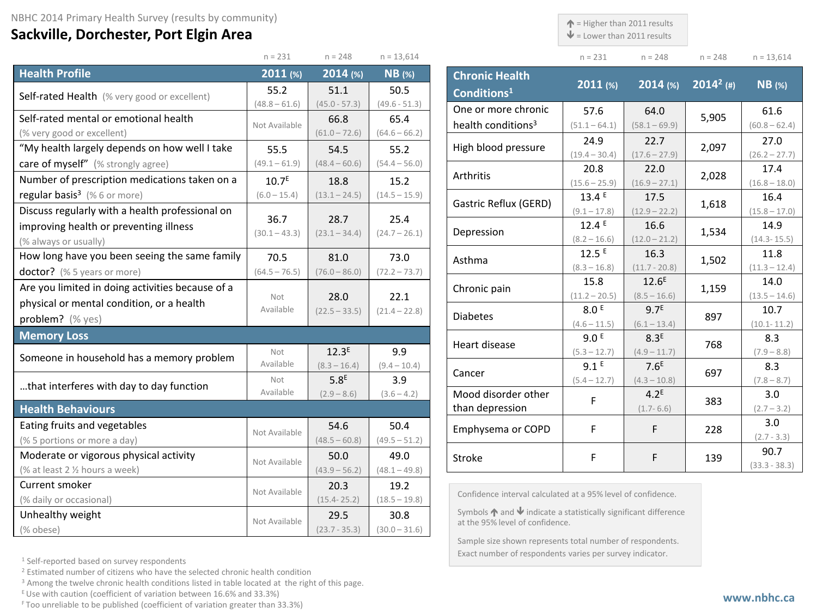## **Sackville, Dorchester, Port Elgin Area**

 $\uparrow$  = Higher than 2011 results

 $\mathbf{\Psi}$  = Lower than 2011 results

| $n = 231$ | $n = 248$ | $n = 248$ | $n = 13,614$ |
|-----------|-----------|-----------|--------------|

|                                                  | $n = 231$               | $n = 248$               | $n = 13,614$    |                       |
|--------------------------------------------------|-------------------------|-------------------------|-----------------|-----------------------|
| <b>Health Profile</b>                            | 2011 (%)                | $2014$ (%)              | <b>NB</b> (%)   | <b>Chronic</b>        |
| Self-rated Health (% very good or excellent)     | 55.2                    | 51.1                    | 50.5            | <b>Conditio</b>       |
|                                                  | $(48.8 - 61.6)$         | $(45.0 - 57.3)$         | $(49.6 - 51.3)$ | One or m              |
| Self-rated mental or emotional health            | Not Available           | 66.8                    | 65.4            | health co             |
| (% very good or excellent)                       |                         | $(61.0 - 72.6)$         | $(64.6 - 66.2)$ |                       |
| "My health largely depends on how well I take    | 55.5                    | 54.5                    | 55.2            | High bloo             |
| care of myself" (% strongly agree)               | $(49.1 - 61.9)$         | $(48.4 - 60.6)$         | $(54.4 - 56.0)$ |                       |
| Number of prescription medications taken on a    | 10.7 <sup>E</sup>       | 18.8                    | 15.2            | Arthritis             |
| regular basis <sup>3</sup> (%6 or more)          | $(6.0 - 15.4)$          | $(13.1 - 24.5)$         | $(14.5 - 15.9)$ |                       |
| Discuss regularly with a health professional on  |                         |                         | 25.4            | Gastric Re            |
| improving health or preventing illness           | 36.7<br>$(30.1 - 43.3)$ | 28.7<br>$(23.1 - 34.4)$ | $(24.7 - 26.1)$ | Depressic             |
| (% always or usually)                            |                         |                         |                 |                       |
| How long have you been seeing the same family    | 70.5                    | 81.0                    | 73.0            | Asthma                |
| doctor? (% 5 years or more)                      | $(64.5 - 76.5)$         | $(76.0 - 86.0)$         | $(72.2 - 73.7)$ |                       |
| Are you limited in doing activities because of a |                         |                         |                 | Chronic p             |
| physical or mental condition, or a health        | Not<br>Available        | 28.0                    | 22.1            |                       |
| problem? (% yes)                                 |                         | $(22.5 - 33.5)$         | $(21.4 - 22.8)$ | <b>Diabetes</b>       |
| <b>Memory Loss</b>                               |                         |                         |                 |                       |
|                                                  | Not                     | 12.3 <sup>E</sup>       | 9.9             | Heart dise            |
| Someone in household has a memory problem        | Available               | $(8.3 - 16.4)$          | $(9.4 - 10.4)$  |                       |
| that interferes with day to day function         | Not                     | 5.8 <sup>E</sup>        | 3.9             | Cancer                |
|                                                  | Available               | $(2.9 - 8.6)$           | $(3.6 - 4.2)$   | Mood dis              |
| <b>Health Behaviours</b>                         |                         |                         |                 | than depi             |
| Eating fruits and vegetables                     | Not Available           | 54.6                    | 50.4            | Emphyser              |
| (% 5 portions or more a day)                     |                         | $(48.5 - 60.8)$         | $(49.5 - 51.2)$ |                       |
| Moderate or vigorous physical activity           | Not Available           | 50.0                    | 49.0            | Stroke                |
| (% at least 2 1/2 hours a week)                  |                         | $(43.9 - 56.2)$         | $(48.1 - 49.8)$ |                       |
| Current smoker                                   | Not Available           | 20.3                    | 19.2            |                       |
| (% daily or occasional)                          |                         | $(15.4 - 25.2)$         | $(18.5 - 19.8)$ | Confidence            |
| Unhealthy weight                                 | Not Available           | 29.5                    | 30.8            | Symbols<br>at the 95% |
| (% obese)                                        |                         | $(23.7 - 35.3)$         | $(30.0 - 31.6)$ | $Gamma = -1$          |

| <b>Chronic Health</b><br>Conditions <sup>1</sup> | $2011$ (%)              | $2014$ (%)              | $2014^2$ (#) | $NB$ (%)                |
|--------------------------------------------------|-------------------------|-------------------------|--------------|-------------------------|
| One or more chronic                              | 57.6                    | 64.0                    | 5,905        | 61.6                    |
| health conditions <sup>3</sup>                   | $(51.1 - 64.1)$         | $(58.1 - 69.9)$         |              | $(60.8 - 62.4)$         |
| High blood pressure                              | 24.9<br>$(19.4 - 30.4)$ | 22.7<br>$(17.6 - 27.9)$ | 2,097        | 27.0<br>$(26.2 - 27.7)$ |
|                                                  | 20.8                    | 22.0                    |              | 17.4                    |
| Arthritis                                        | $(15.6 - 25.9)$         | $(16.9 - 27.1)$         | 2,028        | $(16.8 - 18.0)$         |
| Gastric Reflux (GERD)                            | 13.4E                   | 17.5                    | 1,618        | 16.4                    |
|                                                  | $(9.1 - 17.8)$          | $(12.9 - 22.2)$         |              | $(15.8 - 17.0)$         |
| Depression                                       | 12.4E                   | 16.6                    | 1,534        | 14.9                    |
|                                                  | $(8.2 - 16.6)$          | $(12.0 - 21.2)$         |              | $(14.3 - 15.5)$         |
| Asthma                                           | 12.5E                   | 16.3                    | 1,502        | 11.8                    |
|                                                  | $(8.3 - 16.8)$          | $(11.7 - 20.8)$         |              | $(11.3 - 12.4)$         |
| Chronic pain                                     | 15.8                    | 12.6 <sup>E</sup>       | 1,159        | 14.0                    |
|                                                  | $(11.2 - 20.5)$         | $(8.5 - 16.6)$          |              | $(13.5 - 14.6)$         |
| <b>Diabetes</b>                                  | 8.0 <sup>E</sup>        | 9.7 <sup>E</sup>        | 897          | 10.7                    |
|                                                  | $(4.6 - 11.5)$          | $(6.1 - 13.4)$          |              | $(10.1 - 11.2)$         |
| Heart disease                                    | 9.0 <sup>E</sup>        | 8.3 <sup>E</sup>        | 768          | 8.3                     |
|                                                  | $(5.3 - 12.7)$          | $(4.9 - 11.7)$          |              | $(7.9 - 8.8)$           |
| Cancer                                           | 9.1 <sup>E</sup>        | 7.6 <sup>E</sup>        | 697          | 8.3                     |
|                                                  | $(5.4 - 12.7)$          | $(4.3 - 10.8)$          |              | $(7.8 - 8.7)$           |
| Mood disorder other                              | F                       | 4.2 <sup>E</sup>        | 383          | 3.0                     |
| than depression                                  |                         | $(1.7 - 6.6)$           |              | $(2.7 - 3.2)$           |
| Emphysema or COPD                                | F                       | F                       | 228          | 3.0                     |
|                                                  |                         |                         |              | $(2.7 - 3.3)$           |
| Stroke                                           | F                       | F                       | 139          | 90.7                    |
|                                                  |                         |                         |              | $(33.3 - 38.3)$         |

e interval calculated at a 95% level of confidence.

 $\blacktriangle$  and  $\blacktriangledown$  indicate a statistically significant difference level of confidence.

Sample size shown represents total number of respondents. Exact number of respondents varies per survey indicator.

<sup>1</sup> Self-reported based on survey respondents

<sup>2</sup> Estimated number of citizens who have the selected chronic health condition

<sup>3</sup> Among the twelve chronic health conditions listed in table located at the right of this page.

 $E$  Use with caution (coefficient of variation between 16.6% and 33.3%)

F Too unreliable to be published (coefficient of variation greater than 33.3%)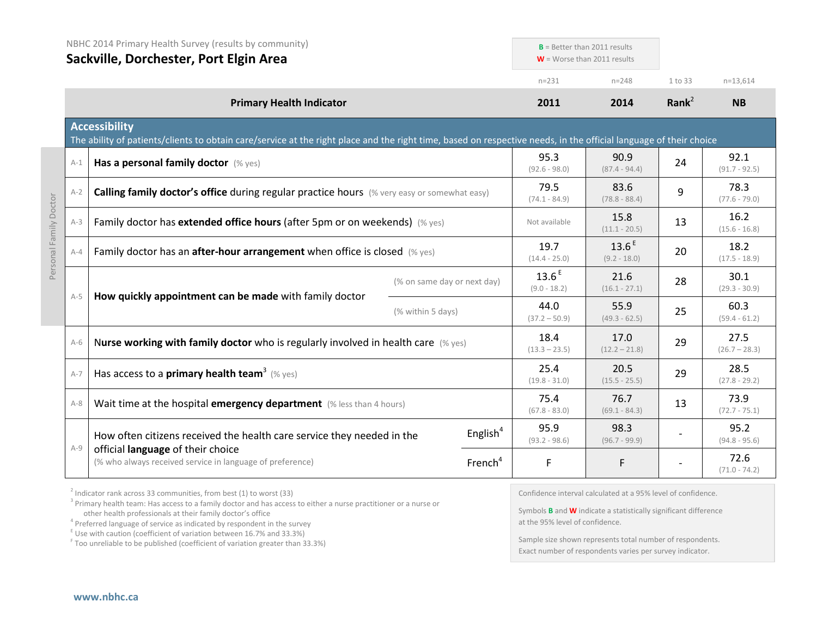|         | NBHC 2014 Primary Health Survey (results by community)<br>Sackville, Dorchester, Port Elgin Area                                                                                          |                             |                     | $B$ = Better than 2011 results<br>$W =$ Worse than 2011 results |                                     |                   |                         |
|---------|-------------------------------------------------------------------------------------------------------------------------------------------------------------------------------------------|-----------------------------|---------------------|-----------------------------------------------------------------|-------------------------------------|-------------------|-------------------------|
|         |                                                                                                                                                                                           |                             |                     | $n = 231$                                                       | $n = 248$                           | 1 to 33           | $n=13,614$              |
|         | <b>Primary Health Indicator</b>                                                                                                                                                           |                             |                     | 2011                                                            | 2014                                | Rank <sup>2</sup> | <b>NB</b>               |
|         | <b>Accessibility</b><br>The ability of patients/clients to obtain care/service at the right place and the right time, based on respective needs, in the official language of their choice |                             |                     |                                                                 |                                     |                   |                         |
| $A-1$   | Has a personal family doctor (% yes)                                                                                                                                                      |                             |                     | 95.3<br>$(92.6 - 98.0)$                                         | 90.9<br>$(87.4 - 94.4)$             | 24                | 92.1<br>$(91.7 - 92.5)$ |
| $A-2$   | Calling family doctor's office during regular practice hours (% very easy or somewhat easy)                                                                                               |                             |                     | 79.5<br>$(74.1 - 84.9)$                                         | 83.6<br>$(78.8 - 88.4)$             | 9                 | 78.3<br>$(77.6 - 79.0)$ |
| $A-3$   | Family doctor has extended office hours (after 5pm or on weekends) (% yes)                                                                                                                |                             |                     | Not available                                                   | 15.8<br>$(11.1 - 20.5)$             | 13                | 16.2<br>$(15.6 - 16.8)$ |
| $A - 4$ | Family doctor has an <b>after-hour arrangement</b> when office is closed $(\%$ yes)                                                                                                       |                             |                     | 19.7<br>$(14.4 - 25.0)$                                         | 13.6 <sup>E</sup><br>$(9.2 - 18.0)$ | 20                | 18.2<br>$(17.5 - 18.9)$ |
|         |                                                                                                                                                                                           | (% on same day or next day) |                     | 13.6 <sup>E</sup><br>$(9.0 - 18.2)$                             | 21.6<br>$(16.1 - 27.1)$             | 28                | 30.1<br>$(29.3 - 30.9)$ |
| $A-5$   | How quickly appointment can be made with family doctor                                                                                                                                    | (% within 5 days)           |                     | 44.0<br>$(37.2 - 50.9)$                                         | 55.9<br>$(49.3 - 62.5)$             | 25                | 60.3<br>$(59.4 - 61.2)$ |
| $A-6$   | Nurse working with family doctor who is regularly involved in health care $(\%$ yes)                                                                                                      |                             |                     | 18.4<br>$(13.3 - 23.5)$                                         | 17.0<br>$(12.2 - 21.8)$             | 29                | 27.5<br>$(26.7 - 28.3)$ |
| $A-7$   | Has access to a primary health team <sup>3</sup> (% yes)                                                                                                                                  |                             |                     | 25.4<br>$(19.8 - 31.0)$                                         | 20.5<br>$(15.5 - 25.5)$             | 29                | 28.5<br>$(27.8 - 29.2)$ |
| $A-8$   | Wait time at the hospital emergency department (% less than 4 hours)                                                                                                                      |                             |                     | 75.4<br>$(67.8 - 83.0)$                                         | 76.7<br>$(69.1 - 84.3)$             | 13                | 73.9<br>$(72.7 - 75.1)$ |
|         | How often citizens received the health care service they needed in the                                                                                                                    |                             | English $4$         | 95.9<br>$(93.2 - 98.6)$                                         | 98.3<br>$(96.7 - 99.9)$             |                   | 95.2<br>$(94.8 - 95.6)$ |
| $A-9$   | official language of their choice<br>(% who always received service in language of preference)                                                                                            |                             | French <sup>4</sup> | F                                                               | F                                   |                   | 72.6<br>$(71.0 - 74.2)$ |

 $2$  Indicator rank across 33 communities, from best (1) to worst (33)

<sup>3</sup> Primary health team: Has access to a family doctor and has access to either a nurse practitioner or a nurse or other health professionals at their family doctor's office

 $\frac{1}{2}$  Use with caution (coefficient of variation between 16.7% and 33.3%)

<sup>F</sup> Too unreliable to be published (coefficient of variation greater than 33.3%)

Confidence interval calculated at a 95% level of confidence.

Symbols **B** and **W** indicate a statistically significant difference at the 95% level of confidence.

Sample size shown represents total number of respondents. Exact number of respondents varies per survey indicator.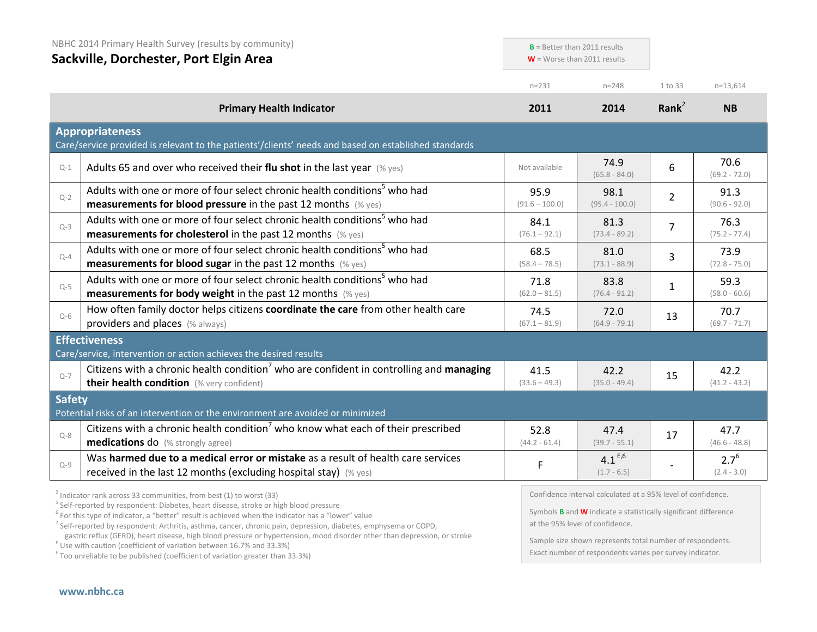| NBHC 2014 Primary Health Survey (results by community)<br>Sackville, Dorchester, Port Elgin Area |                                                                                                                                                                  |                          | $B =$ Better than 2011 results<br>$W =$ Worse than 2011 results |                   |                            |
|--------------------------------------------------------------------------------------------------|------------------------------------------------------------------------------------------------------------------------------------------------------------------|--------------------------|-----------------------------------------------------------------|-------------------|----------------------------|
|                                                                                                  |                                                                                                                                                                  | $n = 231$                | $n = 248$                                                       | 1 to 33           | $n = 13,614$               |
|                                                                                                  | <b>Primary Health Indicator</b>                                                                                                                                  | 2011                     | 2014                                                            | Rank <sup>2</sup> | <b>NB</b>                  |
|                                                                                                  | <b>Appropriateness</b><br>Care/service provided is relevant to the patients'/clients' needs and based on established standards                                   |                          |                                                                 |                   |                            |
| $Q-1$                                                                                            | Adults 65 and over who received their flu shot in the last year (% yes)                                                                                          | Not available            | 74.9<br>$(65.8 - 84.0)$                                         | 6                 | 70.6<br>$(69.2 - 72.0)$    |
| $Q - 2$                                                                                          | Adults with one or more of four select chronic health conditions <sup>5</sup> who had<br><b>measurements for blood pressure</b> in the past 12 months $(\%$ yes) | 95.9<br>$(91.6 - 100.0)$ | 98.1<br>$(95.4 - 100.0)$                                        | $\overline{2}$    | 91.3<br>$(90.6 - 92.0)$    |
| $Q-3$                                                                                            | Adults with one or more of four select chronic health conditions <sup>5</sup> who had<br><b>measurements for cholesterol</b> in the past 12 months (% yes)       | 84.1<br>$(76.1 - 92.1)$  | 81.3<br>$(73.4 - 89.2)$                                         | $\overline{7}$    | 76.3<br>$(75.2 - 77.4)$    |
| $Q - 4$                                                                                          | Adults with one or more of four select chronic health conditions <sup>5</sup> who had<br><b>measurements for blood sugar</b> in the past 12 months (% yes)       | 68.5<br>$(58.4 - 78.5)$  | 81.0<br>$(73.1 - 88.9)$                                         | 3                 | 73.9<br>$(72.8 - 75.0)$    |
| $Q-5$                                                                                            | Adults with one or more of four select chronic health conditions <sup>5</sup> who had<br><b>measurements for body weight</b> in the past 12 months (% yes)       | 71.8<br>$(62.0 - 81.5)$  | 83.8<br>$(76.4 - 91.2)$                                         | $\mathbf{1}$      | 59.3<br>$(58.0 - 60.6)$    |
| $Q-6$                                                                                            | How often family doctor helps citizens coordinate the care from other health care<br>providers and places (% always)                                             | 74.5<br>$(67.1 - 81.9)$  | 72.0<br>$(64.9 - 79.1)$                                         | 13                | 70.7<br>$(69.7 - 71.7)$    |
|                                                                                                  | <b>Effectiveness</b><br>Care/service, intervention or action achieves the desired results                                                                        |                          |                                                                 |                   |                            |
| $Q-7$                                                                                            | Citizens with a chronic health condition <sup>7</sup> who are confident in controlling and managing<br>their health condition (% very confident)                 | 41.5<br>$(33.6 - 49.3)$  | 42.2<br>$(35.0 - 49.4)$                                         | 15                | 42.2<br>$(41.2 - 43.2)$    |
| <b>Safety</b>                                                                                    | Potential risks of an intervention or the environment are avoided or minimized                                                                                   |                          |                                                                 |                   |                            |
| $Q - 8$                                                                                          | Citizens with a chronic health condition <sup>7</sup> who know what each of their prescribed<br><b>medications do</b> (% strongly agree)                         | 52.8<br>$(44.2 - 61.4)$  | 47.4<br>$(39.7 - 55.1)$                                         | 17                | 47.7<br>$(46.6 - 48.8)$    |
| $Q - 9$                                                                                          | Was harmed due to a medical error or mistake as a result of health care services<br>received in the last 12 months (excluding hospital stay) (% yes)             | F                        | $4.1^{E,6}$<br>$(1.7 - 6.5)$                                    |                   | $2.7^{6}$<br>$(2.4 - 3.0)$ |
|                                                                                                  | $\frac{2}{3}$ Indicator rank across 33 communities, from best (1) to worst (33)                                                                                  |                          | Confidence interval calculated at a 95% level of confidence.    |                   |                            |

 $\frac{2}{3}$  Indicator rank across 33 communities, from best (1) to worst (33)<br> $\frac{5}{3}$  Self-reported by respondent: Diabetes, heart disease, stroke or high blood pressure

<sup>6</sup> For this type of indicator, a "better" result is achieved when the indicator has a "lower" value

<sup>7</sup> Self-reported by respondent: Arthritis, asthma, cancer, chronic pain, depression, diabetes, emphysema or COPD,

gastric reflux (GERD), heart disease, high blood pressure or hypertension, mood disorder other than depression, or stroke E Use with caution (coefficient of variation between 16.7% and 33.3%)

<sup>F</sup> Too unreliable to be published (coefficient of variation greater than 33.3%)

Confidence interval calculated at a 95% level of confidence.

Symbols **B** and **W** indicate a statistically significant difference at the 95% level of confidence.

Sample size shown represents total number of respondents. Exact number of respondents varies per survey indicator.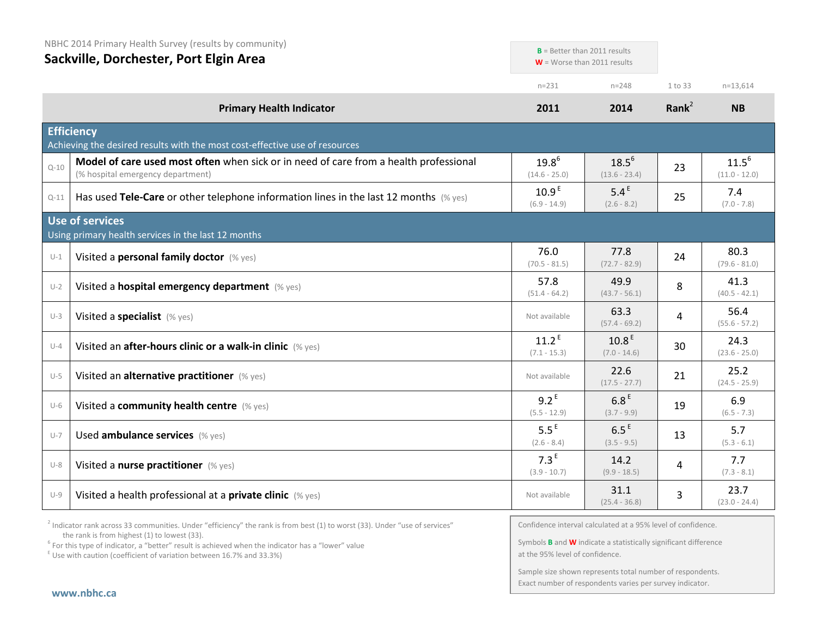|          | NBHC 2014 Primary Health Survey (results by community)<br>Sackville, Dorchester, Port Elgin Area                           |                                     | $B$ = Better than 2011 results<br>$W =$ Worse than 2011 results |          |                               |
|----------|----------------------------------------------------------------------------------------------------------------------------|-------------------------------------|-----------------------------------------------------------------|----------|-------------------------------|
|          |                                                                                                                            | $n = 231$                           | $n = 248$                                                       | 1 to 33  | $n = 13,614$                  |
|          | <b>Primary Health Indicator</b>                                                                                            | 2011                                | 2014                                                            | Rank $2$ | <b>NB</b>                     |
|          | <b>Efficiency</b><br>Achieving the desired results with the most cost-effective use of resources                           |                                     |                                                                 |          |                               |
| $Q - 10$ | Model of care used most often when sick or in need of care from a health professional<br>(% hospital emergency department) | $19.8^{6}$<br>$(14.6 - 25.0)$       | $18.5^{6}$<br>$(13.6 - 23.4)$                                   | 23       | $11.5^{6}$<br>$(11.0 - 12.0)$ |
| $Q-11$   | Has used Tele-Care or other telephone information lines in the last 12 months $(\%$ yes)                                   | 10.9 <sup>E</sup><br>$(6.9 - 14.9)$ | 5.4 <sup>E</sup><br>$(2.6 - 8.2)$                               | 25       | 7.4<br>$(7.0 - 7.8)$          |
|          | <b>Use of services</b><br>Using primary health services in the last 12 months                                              |                                     |                                                                 |          |                               |
| $U-1$    | Visited a personal family doctor (% yes)                                                                                   | 76.0<br>$(70.5 - 81.5)$             | 77.8<br>$(72.7 - 82.9)$                                         | 24       | 80.3<br>$(79.6 - 81.0)$       |
| $U-2$    | Visited a hospital emergency department (% yes)                                                                            | 57.8<br>$(51.4 - 64.2)$             | 49.9<br>$(43.7 - 56.1)$                                         | 8        | 41.3<br>$(40.5 - 42.1)$       |
| $U-3$    | Visited a specialist (% yes)                                                                                               | Not available                       | 63.3<br>$(57.4 - 69.2)$                                         | 4        | 56.4<br>$(55.6 - 57.2)$       |
| $U - 4$  | Visited an after-hours clinic or a walk-in clinic (% yes)                                                                  | 11.2 <sup>E</sup><br>$(7.1 - 15.3)$ | 10.8 <sup>E</sup><br>$(7.0 - 14.6)$                             | 30       | 24.3<br>$(23.6 - 25.0)$       |
| $U-5$    | Visited an alternative practitioner (% yes)                                                                                | Not available                       | 22.6<br>$(17.5 - 27.7)$                                         | 21       | 25.2<br>$(24.5 - 25.9)$       |
| $U-6$    | Visited a community health centre (% yes)                                                                                  | $9.2^E$<br>$(5.5 - 12.9)$           | 6.8 <sup>E</sup><br>$(3.7 - 9.9)$                               | 19       | 6.9<br>$(6.5 - 7.3)$          |
| $U - 7$  | Used ambulance services (% yes)                                                                                            | 5.5 <sup>E</sup><br>$(2.6 - 8.4)$   | 6.5 <sup>E</sup><br>$(3.5 - 9.5)$                               | 13       | 5.7<br>$(5.3 - 6.1)$          |
| $U-8$    | Visited a nurse practitioner (% yes)                                                                                       | 7.3 <sup>E</sup><br>$(3.9 - 10.7)$  | 14.2<br>$(9.9 - 18.5)$                                          | 4        | 7.7<br>$(7.3 - 8.1)$          |
| $U-9$    | Visited a health professional at a private clinic (% yes)                                                                  | Not available                       | 31.1<br>$(25.4 - 36.8)$                                         | 3        | 23.7<br>$(23.0 - 24.4)$       |

 $2$  Indicator rank across 33 communities. Under "efficiency" the rank is from best (1) to worst (33). Under "use of services" the rank is from highest (1) to lowest (33).

<sup>6</sup> For this type of indicator, a "better" result is achieved when the indicator has a "lower" value  $E$ <sup>E</sup> Use with caution (coefficient of variation between 16.7% and 33.3%)

Confidence interval calculated at a 95% level of confidence.

Symbols **B** and **W** indicate a statistically significant difference at the 95% level of confidence.

Sample size shown represents total number of respondents. Exact number of respondents varies per survey indicator.